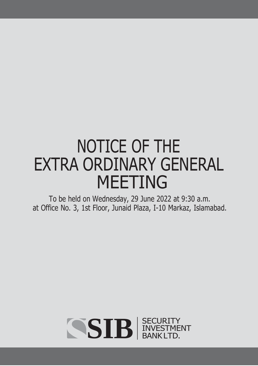# NOTICE OF THE EXTRA ORDINARY GENERAL MEETING

To be held on Wednesday, 29 June 2022 at 9:30 a.m. at Office No. 3, 1st Floor, Junaid Plaza, I-10 Markaz, Islamabad.

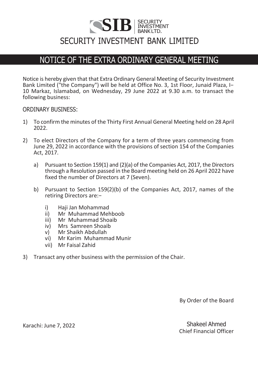# $\textbf{SIB}$   $\vert$  **ECURITY BANKLTD.** INVESTMENT BANKLTD. SECURITY INVESTMENT BANK LIMITED

## NOTICE OF THE EXTRA ORDINARY GENERAL MEETING

Notice is hereby given that that Extra Ordinary General Meeting of Security Investment Bank Limited ("the Company") will be held at Office No. 3, 1st Floor, Junaid Plaza, I− 10 Markaz, Islamabad, on Wednesday, 29 June 2022 at 9.30 a.m. to transact the following business:

#### ORDINARY BUSINESS:

- 1) To confirm the minutes of the Thirty First Annual General Meeting held on 28 April 2022.
- 2) To elect Directors of the Company for a term of three years commencing from June 29, 2022 in accordance with the provisions of section 154 of the Companies Act, 2017.
	- a) Pursuant to Section 159(1) and (2)(a) of the Companies Act, 2017, the Directors through a Resolution passed in the Board meeting held on 26 April 2022 have fixed the number of Directors at 7 (Seven).
	- b) Pursuant to Section 159(2)(b) of the Companies Act, 2017, names of the retiring Directors are:−
		- i) Haji Jan Mohammad
		- ii) Mr Muhammad Mehboob<br>iii) Mr Muhammad Shoaib
		- Mr Muhammad Shoaib
		- iv) Mrs Samreen Shoaib
		- v) Mr Shaikh Abdullah<br>vi) Mr Karim Muhamm
		- vi) Mr Karim Muhammad Munir
		- vii) Mr Faisal Zahid
- 3) Transact any other business with the permission of the Chair.

By Order of the Board

Karachi: June 7, 2022 Shakeel Ahmed Chief Financial Officer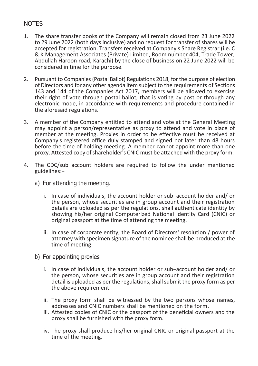## **NOTES**

- 1. The share transfer books of the Company will remain closed from 23 June 2022 to 29 June 2022 (both days inclusive) and no request for transfer of shares will be accepted for registration. Transfers received at Company's Share Registrar (i.e. C & K Management Associates (Private) Limited, Room number 404, Trade Tower, Abdullah Haroon road, Karachi) by the close of business on 22 June 2022 will be considered in time for the purpose.
- 2. Pursuant to Companies (Postal Ballot) Regulations 2018, for the purpose of election of Directors and for any other agenda item subject to the requirements of Sections 143 and 144 of the Companies Act 2017, members will be allowed to exercise their right of vote through postal ballot, that is voting by post or through any electronic mode, in accordance with requirements and procedure contained in the aforesaid regulations.
- 3. A member of the Company entitled to attend and vote at the General Meeting may appoint a person/representative as proxy to attend and vote in place of member at the meeting. Proxies in order to be effective must be received at Company's registered office duly stamped and signed not later than 48 hours before the time of holding meeting. A member cannot appoint more than one proxy. Attested copy of shareholder's CNIC must be attached with the proxy form.
- 4. The CDC/sub account holders are required to follow the under mentioned guidelines:−
	- a) For attending the meeting.
		- i. In case of individuals, the account holder or sub−account holder and/ or the person, whose securities are in group account and their registration details are uploaded as per the regulations, shall authenticate identity by showing his/her original Computerized National Identity Card (CNIC) or original passport at the time of attending the meeting.
		- ii. In case of corporate entity, the Board of Directors' resolution / power of attorney with specimen signature of the nominee shall be produced at the time of meeting.
	- b) For appointing proxies
		- i. In case of individuals, the account holder or sub−account holder and/ or the person, whose securities are in group account and their registration detail is uploaded as per the regulations, shall submit the proxy form as per the above requirement.
		- ii. The proxy form shall be witnessed by the two persons whose names, addresses and CNIC numbers shall be mentioned on the form.
		- iii. Attested copies of CNIC or the passport of the beneficial owners and the proxy shall be furnished with the proxy form.
		- iv. The proxy shall produce his/her original CNIC or original passport at the time of the meeting.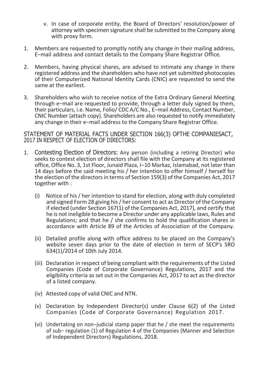- v. In case of corporate entity, the Board of Directors' resolution/power of attorney with specimen signature shall be submitted to the Company along with proxy form.
- 1. Members are requested to promptly notify any change in their mailing address, E−mail address and contact details to the Company Share Registrar Office.
- 2. Members, having physical shares, are advised to intimate any change in there registered address and the shareholders who have not yet submitted photocopies of their Computerized National Identity Cards (CNIC) are requested to send the same at the earliest.
- 3. Shareholders who wish to receive notice of the Extra Ordinary General Meeting through e−mail are requested to provide, through a letter duly signed by them, their particulars, i.e. Name, Folio/ CDC A/C No., E−mail Address, Contact Number, CNIC Number (attach copy). Shareholders are also requested to notify immediately any change in their e−mail address to the Company Share Registrar Office.

STATEMENT OF MATERIAL FACTS UNDER SECTION 166(3) OFTHE COMPANIESACT, 2017 IN RESPECT OF ELECTION OF DIRECTORS:

- 1. Contesting Election of Directors: Any person (including a retiring Director) who seeks to contest election of directors shall file with the Company at its registered office, Office No. 3, 1st Floor, Junaid Plaza, I−10 Markaz, Islamabad, not later than 14 days before the said meeting his / her intention to offer himself / herself for the election of the directors in terms of Section 159(3) of the Companies Act, 2017 together with :
	- (i) Notice of his / her intention to stand for election, along with duly completed and signed Form 28 giving his / her consent to act as Director of the Company if elected (under Section 167(1) of the Companies Act, 2017), and certify that he is not ineligible to become a Director under any applicable laws, Rules and Regulations; and that he / she confirms to hold the qualification shares in accordance with Article 89 of the Articles of Association of the Company.
	- (ii) Detailed profile along with office address to be placed on the Company's website seven days prior to the date of election in term of SECP's SRO 634(1)/2014 of 10th July 2014.
	- (iii) Declaration in respect of being compliant with the requirements of the Listed Companies (Code of Corporate Governance) Regulations, 2017 and the eligibility criteria as set out in the Companies Act, 2017 to act as the director of a listed company.
	- (iv) Attested copy of valid CNIC and NTN.
	- (v) Declaration by Independent Director(s) under Clause 6(2) of the Listed Companies (Code of Corporate Governance) Regulation 2017.
	- (vi) Undertaking on non−judicial stamp paper that he / she meet the requirements of sub− regulation (1) of Regulation 4 of the Companies (Manner and Selection of Independent Directors) Regulations, 2018.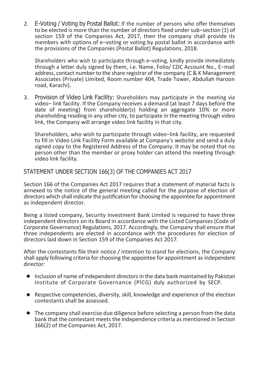2. E-Voting / Voting by Postal Ballot: If the number of persons who offer themselves to be elected is more than the number of directors fixed under sub−section (1) of section 159 of the Companies Act, 2017, then the company shall provide its members with options of e−voting or voting by postal ballot in accordance with the provisions of the Companies (Postal Ballot) Regulations, 2018.

Shareholders who wish to participate through e−voting, kindly provide immediately through a letter duly signed by them, i.e. Name, Folio/ CDC Account No., E−mail address, contact number to the share registrar of the company (C & K Management Associates (Private) Limited, Room number 404, Trade Tower, Abdullah Haroon road, Karachi).

3. Provision of Video Link Facility: Shareholders may participate in the meeting via video− link facility. If the Company receives a demand (at least 7 days before the date of meeting) from shareholder(s) holding an aggregate 10% or more shareholding residing in any other city, to participate in the meeting through video link, the Company will arrange video link facility in that city.

Shareholders, who wish to participate through video−link facility, are requested to fill in Video Link Facility Form available at Company's website and send a duly signed copy to the Registered Address of the Company. It may be noted that no person other than the member or proxy holder can attend the meeting through video link facility.

### STATEMENT UNDER SECTION 166(3) OF THE COMPANIES ACT 2017

Section 166 of the Companies Act 2017 requires that a statement of material facts is annexed to the notice of the general meeting called for the purpose of election of directors which shall indicate the justification for choosing the appointee for appointment as independent director.

Being a listed company, Security Investment Bank Limited is required to have three independent directors on its Board in accordance with the Listed Companies (Code of Corporate Governance) Regulations, 2017. Accordingly, the Company shall ensure that three independents are elected in accordance with the procedures for election of directors laid down in Section 159 of the Companies Act 2017.

After the contestants file their notice / intention to stand for elections, the Company shall apply following criteria for choosing the appointee for appointment as independent director:

- Inclusion of name of independent directorsin the data bank maintained by Pakistan Institute of Corporate Governance (PICG) duly authorized by SECP.
- Respective competencies, diversity, skill, knowledge and experience of the election contestants shall be assessed.
- The company shall exercise due diligence before selecting a person from the data bank that the contestant meets the independence criteria as mentioned in Section 166(2) of the Companies Act, 2017.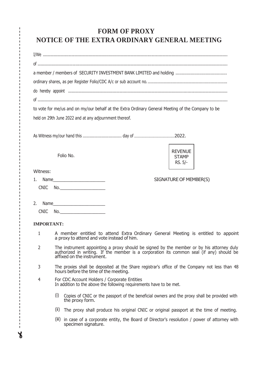## **FORM OF PROXY NOTICE OF THE EXTRA ORDINARY GENERAL MEETING**

| to vote for me/us and on my/our behalf at the Extra Ordinary General Meeting of the Company to be<br>held on 29th June 2022 and at any adjournment thereof.                                                                          |                                                                                                                                                                                                                 |                                                                                                                                      |                                           |  |  |
|--------------------------------------------------------------------------------------------------------------------------------------------------------------------------------------------------------------------------------------|-----------------------------------------------------------------------------------------------------------------------------------------------------------------------------------------------------------------|--------------------------------------------------------------------------------------------------------------------------------------|-------------------------------------------|--|--|
|                                                                                                                                                                                                                                      |                                                                                                                                                                                                                 |                                                                                                                                      |                                           |  |  |
|                                                                                                                                                                                                                                      |                                                                                                                                                                                                                 |                                                                                                                                      |                                           |  |  |
|                                                                                                                                                                                                                                      |                                                                                                                                                                                                                 | Folio No.                                                                                                                            | <b>REVENUE</b><br><b>STAMP</b><br>RS. 5/- |  |  |
| Witness:                                                                                                                                                                                                                             |                                                                                                                                                                                                                 |                                                                                                                                      |                                           |  |  |
| 1.                                                                                                                                                                                                                                   | SIGNATURE OF MEMBER(S)                                                                                                                                                                                          |                                                                                                                                      |                                           |  |  |
| <b>CNIC</b>                                                                                                                                                                                                                          |                                                                                                                                                                                                                 | <u>No.__________________________</u>                                                                                                 |                                           |  |  |
| 2.<br>Name and the contract of the contract of the contract of the contract of the contract of the contract of the contract of the contract of the contract of the contract of the contract of the contract of the contract of the c |                                                                                                                                                                                                                 |                                                                                                                                      |                                           |  |  |
| <b>CNIC</b>                                                                                                                                                                                                                          | No.                                                                                                                                                                                                             |                                                                                                                                      |                                           |  |  |
| <b>IMPORTANT:</b>                                                                                                                                                                                                                    |                                                                                                                                                                                                                 |                                                                                                                                      |                                           |  |  |
| 1                                                                                                                                                                                                                                    | A member entitled to attend Extra Ordinary General Meeting is entitled to appoint<br>a proxy to attend and vote instead of him.                                                                                 |                                                                                                                                      |                                           |  |  |
| 2                                                                                                                                                                                                                                    | The instrument appointing a proxy should be signed by the member or by his attorney duly authorized in writing. If the member is a corporation its common seal (if any) should be<br>affixed on the instrument. |                                                                                                                                      |                                           |  |  |
| 3                                                                                                                                                                                                                                    |                                                                                                                                                                                                                 | The proxies shall be deposited at the Share registrar's office of the Company not less than 48 hours before the time of the meeting. |                                           |  |  |
| 4                                                                                                                                                                                                                                    |                                                                                                                                                                                                                 | For CDC Account Holders / Corporate Entities<br>In addition to the above the following requirements have to be met.                  |                                           |  |  |
|                                                                                                                                                                                                                                      | (i)                                                                                                                                                                                                             | Copies of CNIC or the passport of the beneficial owners and the proxy shall be provided with<br>the proxy form.                      |                                           |  |  |
|                                                                                                                                                                                                                                      |                                                                                                                                                                                                                 | (ii) The proxy shall produce his original CNIC or original passport at the time of meeting.                                          |                                           |  |  |
|                                                                                                                                                                                                                                      |                                                                                                                                                                                                                 | (iii) in case of a corporate entity, the Board of Director's resolution / power of attorney with<br>specimen signature.              |                                           |  |  |
|                                                                                                                                                                                                                                      |                                                                                                                                                                                                                 |                                                                                                                                      |                                           |  |  |

 $\lambda$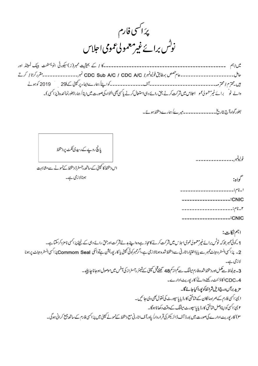پرَ ا<sup>کس</sup>ی فارم<br>نوٹس برائے غیرمعمولی عمومی احلاس

ثلالاتهم بالمستعدد والمستعدد والمنافس والے نو ٗ براۓ غیرمعمو دلی عمو اجلاس میں شرکت کرنے بھی رائے دہی استعمال کرنے پاکسی بھی التواء کی صورت میں اپنا/ ہمارابطورنمائندہ (پرَاکسی)۔

بطورگواہ آج بتاریخ ۔۔۔۔۔۔۔۔۔۔۔۔۔ میرے اہمارے دستخط ہوئے۔

یانچ روپے کے رسیدی ٹکٹ پردستخط

ن ، يتخطأ كالميني كے ساتھ رجسٹرڈ دیتخط كے نمونے ہے مشابہت

ہونالازمی ہے۔

| اسنام:----------------            |
|-----------------------------------|
| --------------- <sup>:</sup> CNIC |
| ۲ نام:                            |
| .-------------:CNIC               |

اہم نکات: 1 کے ٹی نمبر جوکہ نوٹس براۓ غیرمعمولی عمومی اجلاس میں شرکت کرنے کا مجاز ہے وہ اپنے بدےلشرکت اورحق رائے دہی کے لیئے پر اکسی نامز دکرسکتا ہے۔ 2- پرَاسَی انسٹرو مینٹ ممبرے پابا ختیارا ٹارنی سے دینخط شدہ ہونالا زمی ہے،اگر مبرکوئی کمپنی پاکار پوریشن ہےتوانکی Commom Sealپرَاکسی انسٹرو مینٹ پرہونا لازی ہے۔ 3۔ ہرلحاظ سے مکمل اور دستخط شدہ فارم میٹنگ ہے کم از کم 48 تھنے قبل کمپنی کے شیئر رجسٹراز کی آفس میں موصول ہوجانا جاہئے۔ CDC-4اکاؤٹنٹ رکھنے والے کارپوریٹ ادارے۔ مزيد برآ ن درج ذيل شرائط كويورا كياجائكا-ا ) پرَ اکسی فارم کے ہمراہ مالکان کے شاختی کارڈیا پاسپورٹ کی نقول بھی دی جا سمیں۔ ۲ ) پرَ اَکسی کوا پنااصل شاختی کارڈیا پاسپورٹ میٹنگ کے دقت دکھانا ہوگا۔ ۳) کارپوریٹ ادارے کی صورت میں بورڈ آف ڈائریکٹر کی قراردار/ یادرآف اٹار ٹی مع دینخط کے نموتے کپنی میں پر اکسی فارم کے ساتھ جمع کرانی ہوگی۔